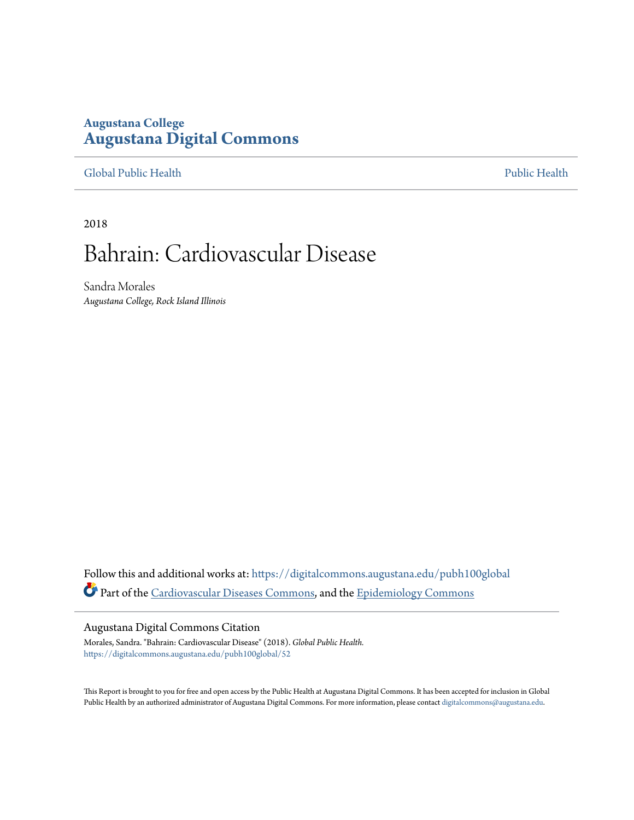## **Augustana College [Augustana Digital Commons](https://digitalcommons.augustana.edu?utm_source=digitalcommons.augustana.edu%2Fpubh100global%2F52&utm_medium=PDF&utm_campaign=PDFCoverPages)**

[Global Public Health](https://digitalcommons.augustana.edu/pubh100global?utm_source=digitalcommons.augustana.edu%2Fpubh100global%2F52&utm_medium=PDF&utm_campaign=PDFCoverPages) [Public Health](https://digitalcommons.augustana.edu/publichealth?utm_source=digitalcommons.augustana.edu%2Fpubh100global%2F52&utm_medium=PDF&utm_campaign=PDFCoverPages)

2018

# Bahrain: Cardiovascular Disease

Sandra Morales *Augustana College, Rock Island Illinois*

Follow this and additional works at: [https://digitalcommons.augustana.edu/pubh100global](https://digitalcommons.augustana.edu/pubh100global?utm_source=digitalcommons.augustana.edu%2Fpubh100global%2F52&utm_medium=PDF&utm_campaign=PDFCoverPages) Part of the [Cardiovascular Diseases Commons,](http://network.bepress.com/hgg/discipline/929?utm_source=digitalcommons.augustana.edu%2Fpubh100global%2F52&utm_medium=PDF&utm_campaign=PDFCoverPages) and the [Epidemiology Commons](http://network.bepress.com/hgg/discipline/740?utm_source=digitalcommons.augustana.edu%2Fpubh100global%2F52&utm_medium=PDF&utm_campaign=PDFCoverPages)

#### Augustana Digital Commons Citation

Morales, Sandra. "Bahrain: Cardiovascular Disease" (2018). *Global Public Health.* [https://digitalcommons.augustana.edu/pubh100global/52](https://digitalcommons.augustana.edu/pubh100global/52?utm_source=digitalcommons.augustana.edu%2Fpubh100global%2F52&utm_medium=PDF&utm_campaign=PDFCoverPages)

This Report is brought to you for free and open access by the Public Health at Augustana Digital Commons. It has been accepted for inclusion in Global Public Health by an authorized administrator of Augustana Digital Commons. For more information, please contact [digitalcommons@augustana.edu.](mailto:digitalcommons@augustana.edu)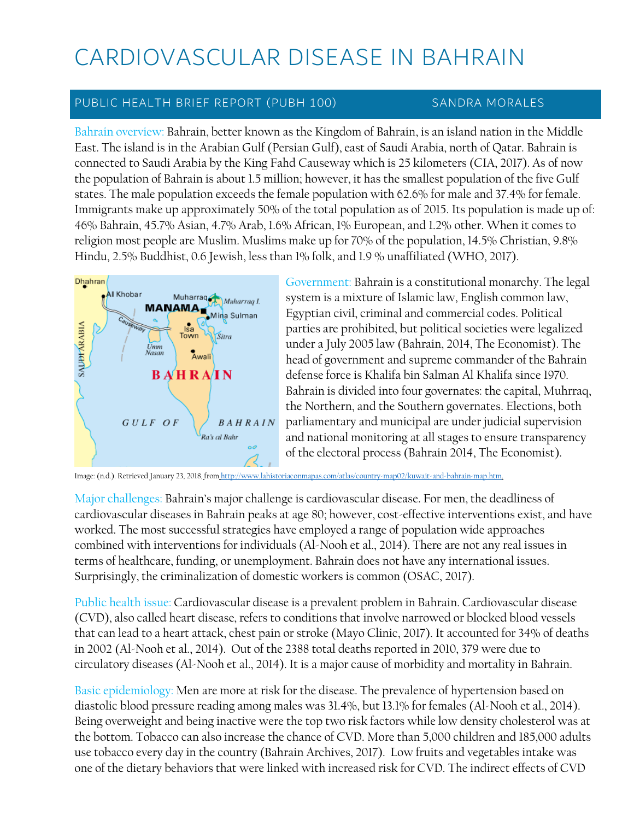# CARDIOVASCULAR DISEASE IN BAHRAIN

## PUBLIC HEALTH BRIEF REPORT (PUBH 100) SANDRA MORALES

Bahrain overview: Bahrain, better known as the Kingdom of Bahrain, is an island nation in the Middle East. The island is in the Arabian Gulf (Persian Gulf), east of Saudi Arabia, north of Qatar. Bahrain is connected to Saudi Arabia by the King Fahd Causeway which is 25 kilometers (CIA, 2017). As of now the population of Bahrain is about 1.5 million; however, it has the smallest population of the five Gulf states. The male population exceeds the female population with 62.6% for male and 37.4% for female. Immigrants make up approximately 50% of the total population as of 2015. Its population is made up of: 46% Bahrain, 45.7% Asian, 4.7% Arab, 1.6% African, 1% European, and 1.2% other. When it comes to religion most people are Muslim. Muslims make up for 70% of the population, 14.5% Christian, 9.8% Hindu, 2.5% Buddhist, 0.6 Jewish, less than 1% folk, and 1.9 % unaffiliated (WHO, 2017).



Government: Bahrain is a constitutional monarchy. The legal system is a mixture of Islamic law, English common law, Egyptian civil, criminal and commercial codes. Political parties are prohibited, but political societies were legalized under a July 2005 law (Bahrain, 2014, The Economist). The head of government and supreme commander of the Bahrain defense force is Khalifa bin Salman Al Khalifa since 1970. Bahrain is divided into four governates: the capital, Muhrraq, the Northern, and the Southern governates. Elections, both parliamentary and municipal are under judicial supervision and national monitoring at all stages to ensure transparency of the electoral process (Bahrain 2014, The Economist).

Image: (n.d.). Retrieved January 23, 2018, from [http://www.lahistoriaconmapas.com/atlas/country-map02/kuwait-and-bahrain-map.htm.](http://www.lahistoriaconmapas.com/atlas/country-map02/kuwait-and-bahrain-map.htm)

Major challenges: Bahrain's major challenge is cardiovascular disease. For men, the deadliness of cardiovascular diseases in Bahrain peaks at age 80; however, cost-effective interventions exist, and have worked. The most successful strategies have employed a range of population wide approaches combined with interventions for individuals (Al-Nooh et al., 2014). There are not any real issues in terms of healthcare, funding, or unemployment. Bahrain does not have any international issues. Surprisingly, the criminalization of domestic workers is common (OSAC, 2017).

Public health issue: Cardiovascular disease is a prevalent problem in Bahrain. Cardiovascular disease (CVD), also called heart disease, refers to conditions that involve narrowed or blocked blood vessels that can lead to a heart attack, chest pain or stroke (Mayo Clinic, 2017). It accounted for 34% of deaths in 2002 (Al-Nooh et al., 2014). Out of the 2388 total deaths reported in 2010, 379 were due to circulatory diseases (Al-Nooh et al., 2014). It is a major cause of morbidity and mortality in Bahrain.

Basic epidemiology: Men are more at risk for the disease. The prevalence of hypertension based on diastolic blood pressure reading among males was 31.4%, but 13.1% for females (Al-Nooh et al., 2014). Being overweight and being inactive were the top two risk factors while low density cholesterol was at the bottom. Tobacco can also increase the chance of CVD. More than 5,000 children and 185,000 adults [use tobacco every day](http://www.tobaccoatlas.org/country-data/bahrain/) in the country (Bahrain Archives, 2017). Low fruits and vegetables intake was one of the dietary behaviors that were linked with increased risk for CVD. The indirect effects of CVD